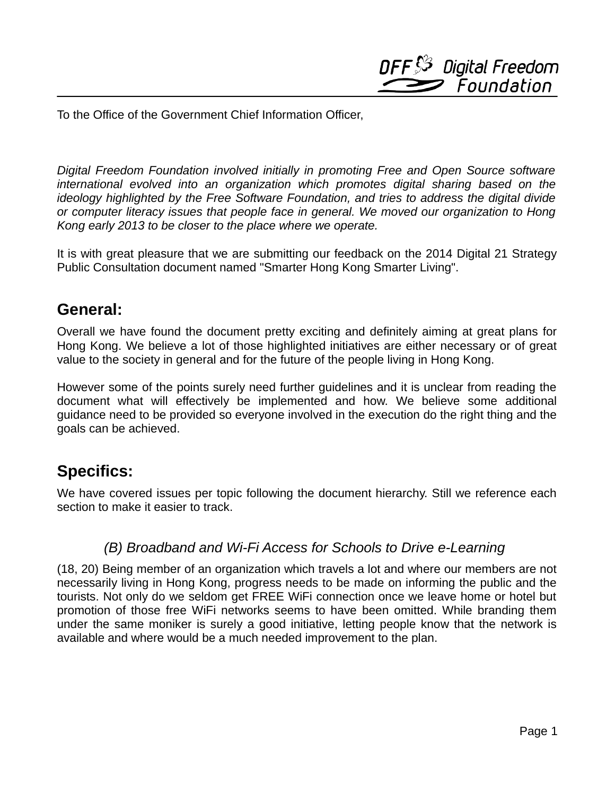**DFF**S<sup>3</sup> Digital Freedom Foundation

To the Office of the Government Chief Information Officer,

 *Digital Freedom Foundation involved initially in promoting Free and Open Source software international evolved into an organization which promotes digital sharing based on the ideology highlighted by the Free Software Foundation, and tries to address the digital divide or computer literacy issues that people face in general. We moved our organization to Hong Kong early 2013 to be closer to the place where we operate.* 

 It is with great pleasure that we are submitting our feedback on the 2014 Digital 21 Strategy Public Consultation document named "Smarter Hong Kong Smarter Living".

# **General:**

 Overall we have found the document pretty exciting and definitely aiming at great plans for Hong Kong. We believe a lot of those highlighted initiatives are either necessary or of great value to the society in general and for the future of the people living in Hong Kong.

 However some of the points surely need further guidelines and it is unclear from reading the document what will effectively be implemented and how. We believe some additional guidance need to be provided so everyone involved in the execution do the right thing and the goals can be achieved.

# **Specifics:**

 We have covered issues per topic following the document hierarchy. Still we reference each section to make it easier to track.

### *(B) Broadband and Wi-Fi Access for Schools to Drive e-Learning*

 (18, 20) Being member of an organization which travels a lot and where our members are not necessarily living in Hong Kong, progress needs to be made on informing the public and the tourists. Not only do we seldom get FREE WiFi connection once we leave home or hotel but promotion of those free WiFi networks seems to have been omitted. While branding them under the same moniker is surely a good initiative, letting people know that the network is available and where would be a much needed improvement to the plan.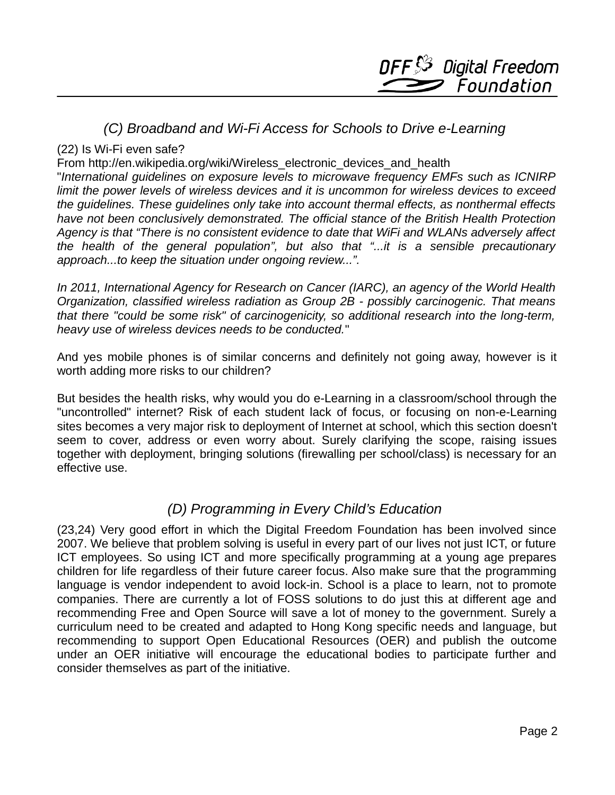### *(C) Broadband and Wi-Fi Access for Schools to Drive e-Learning*

#### (22) Is Wi-Fi even safe?

From http://en.wikipedia.org/wiki/Wireless\_electronic\_devices\_and\_health

 "*International guidelines on exposure levels to microwave frequency EMFs such as ICNIRP limit the power levels of wireless devices and it is uncommon for wireless devices to exceed the guidelines. These guidelines only take into account thermal effects, as nonthermal effects have not been conclusively demonstrated. The official stance of the British Health Protection Agency is that "There is no consistent evidence to date that WiFi and WLANs adversely affect the health of the general population", but also that "...it is a sensible precautionary approach...to keep the situation under ongoing review...".* 

 *In 2011, International Agency for Research on Cancer (IARC), an agency of the World Health Organization, classified wireless radiation as Group 2B - possibly carcinogenic. That means that there "could be some risk" of carcinogenicity, so additional research into the long-term, heavy use of wireless devices needs to be conducted.*"

 And yes mobile phones is of similar concerns and definitely not going away, however is it worth adding more risks to our children?

 But besides the health risks, why would you do e-Learning in a classroom/school through the "uncontrolled" internet? Risk of each student lack of focus, or focusing on non-e-Learning sites becomes a very major risk to deployment of Internet at school, which this section doesn't seem to cover, address or even worry about. Surely clarifying the scope, raising issues together with deployment, bringing solutions (firewalling per school/class) is necessary for an effective use.

# *(D) Programming in Every Child's Education*

 (23,24) Very good effort in which the Digital Freedom Foundation has been involved since 2007. We believe that problem solving is useful in every part of our lives not just ICT, or future ICT employees. So using ICT and more specifically programming at a young age prepares children for life regardless of their future career focus. Also make sure that the programming language is vendor independent to avoid lock-in. School is a place to learn, not to promote companies. There are currently a lot of FOSS solutions to do just this at different age and recommending Free and Open Source will save a lot of money to the government. Surely a curriculum need to be created and adapted to Hong Kong specific needs and language, but recommending to support Open Educational Resources (OER) and publish the outcome under an OER initiative will encourage the educational bodies to participate further and consider themselves as part of the initiative.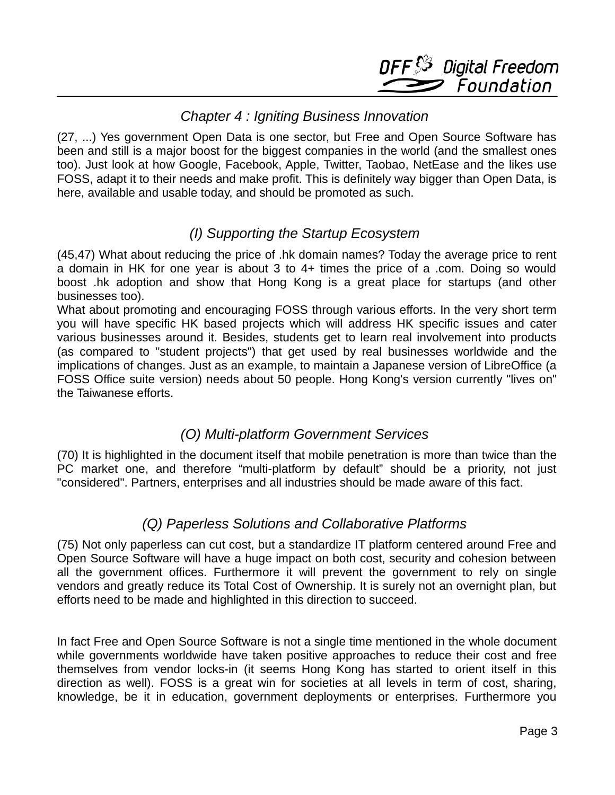

#### *Chapter 4 : Igniting Business Innovation*

 (27, ...) Yes government Open Data is one sector, but Free and Open Source Software has been and still is a major boost for the biggest companies in the world (and the smallest ones too). Just look at how Google, Facebook, Apple, Twitter, Taobao, NetEase and the likes use FOSS, adapt it to their needs and make profit. This is definitely way bigger than Open Data, is here, available and usable today, and should be promoted as such.

# *(I) Supporting the Startup Ecosystem*

 (45,47) What about reducing the price of .hk domain names? Today the average price to rent a domain in HK for one year is about 3 to 4+ times the price of a .com. Doing so would boost .hk adoption and show that Hong Kong is a great place for startups (and other businesses too).

 What about promoting and encouraging FOSS through various efforts. In the very short term you will have specific HK based projects which will address HK specific issues and cater various businesses around it. Besides, students get to learn real involvement into products (as compared to "student projects") that get used by real businesses worldwide and the implications of changes. Just as an example, to maintain a Japanese version of LibreOffice (a FOSS Office suite version) needs about 50 people. Hong Kong's version currently "lives on" the Taiwanese efforts.

# *(O) Multi-platform Government Services*

 (70) It is highlighted in the document itself that mobile penetration is more than twice than the PC market one, and therefore "multi-platform by default" should be a priority, not just "considered". Partners, enterprises and all industries should be made aware of this fact.

# *(Q) Paperless Solutions and Collaborative Platforms*

 (75) Not only paperless can cut cost, but a standardize IT platform centered around Free and Open Source Software will have a huge impact on both cost, security and cohesion between all the government offices. Furthermore it will prevent the government to rely on single vendors and greatly reduce its Total Cost of Ownership. It is surely not an overnight plan, but efforts need to be made and highlighted in this direction to succeed.

 In fact Free and Open Source Software is not a single time mentioned in the whole document while governments worldwide have taken positive approaches to reduce their cost and free themselves from vendor locks-in (it seems Hong Kong has started to orient itself in this direction as well). FOSS is a great win for societies at all levels in term of cost, sharing, knowledge, be it in education, government deployments or enterprises. Furthermore you